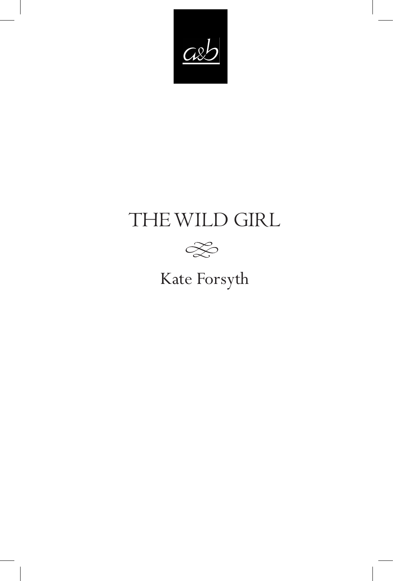

## The Wild Girl



Kate Forsyth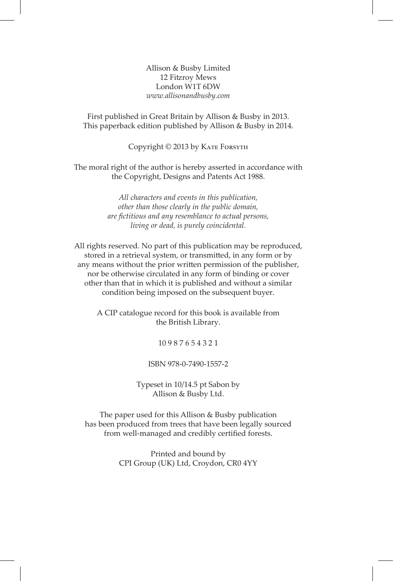Allison & Busby Limited 12 Fitzroy Mews London W1T 6DW *www.allisonandbusby.com*

First published in Great Britain by Allison & Busby in 2013. This paperback edition published by Allison & Busby in 2014.

Copyright © 2013 by Kate Forsyth

The moral right of the author is hereby asserted in accordance with the Copyright, Designs and Patents Act 1988.

> *All characters and events in this publication, other than those clearly in the public domain, are fictitious and any resemblance to actual persons, living or dead, is purely coincidental.*

All rights reserved. No part of this publication may be reproduced, stored in a retrieval system, or transmitted, in any form or by any means without the prior written permission of the publisher, nor be otherwise circulated in any form of binding or cover other than that in which it is published and without a similar condition being imposed on the subsequent buyer.

> A CIP catalogue record for this book is available from the British Library.

> > 10 9 8 7 6 5 4 3 2 1

ISBN 978-0-7490-1557-2

Typeset in 10/14.5 pt Sabon by Allison & Busby Ltd.

The paper used for this Allison & Busby publication has been produced from trees that have been legally sourced from well-managed and credibly certified forests.

> Printed and bound by CPI Group (UK) Ltd, Croydon, CR0 4YY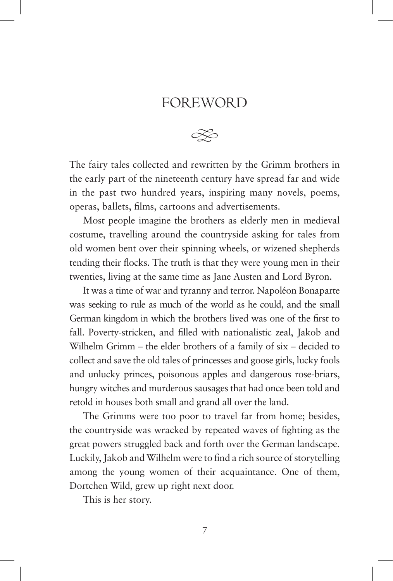## **FOREWORD**



The fairy tales collected and rewritten by the Grimm brothers in the early part of the nineteenth century have spread far and wide in the past two hundred years, inspiring many novels, poems, operas, ballets, films, cartoons and advertisements.

Most people imagine the brothers as elderly men in medieval costume, travelling around the countryside asking for tales from old women bent over their spinning wheels, or wizened shepherds tending their flocks. The truth is that they were young men in their twenties, living at the same time as Jane Austen and Lord Byron.

It was a time of war and tyranny and terror. Napoléon Bonaparte was seeking to rule as much of the world as he could, and the small German kingdom in which the brothers lived was one of the first to fall. Poverty-stricken, and filled with nationalistic zeal, Jakob and Wilhelm Grimm – the elder brothers of a family of six – decided to collect and save the old tales of princesses and goose girls, lucky fools and unlucky princes, poisonous apples and dangerous rose-briars, hungry witches and murderous sausages that had once been told and retold in houses both small and grand all over the land.

The Grimms were too poor to travel far from home; besides, the countryside was wracked by repeated waves of fighting as the great powers struggled back and forth over the German landscape. Luckily, Jakob and Wilhelm were to find a rich source of storytelling among the young women of their acquaintance. One of them, Dortchen Wild, grew up right next door.

This is her story.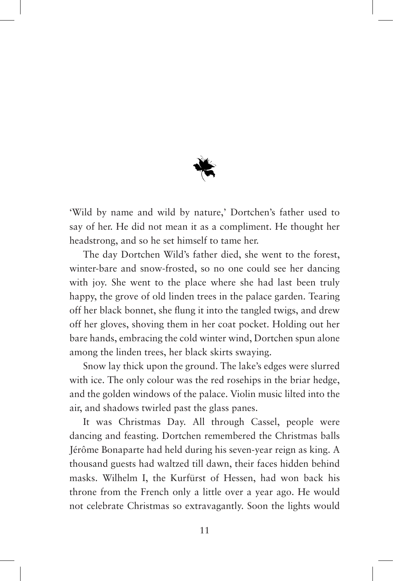

'Wild by name and wild by nature,' Dortchen's father used to say of her. He did not mean it as a compliment. He thought her headstrong, and so he set himself to tame her.

The day Dortchen Wild's father died, she went to the forest, winter-bare and snow-frosted, so no one could see her dancing with joy. She went to the place where she had last been truly happy, the grove of old linden trees in the palace garden. Tearing off her black bonnet, she flung it into the tangled twigs, and drew off her gloves, shoving them in her coat pocket. Holding out her bare hands, embracing the cold winter wind, Dortchen spun alone among the linden trees, her black skirts swaying.

Snow lay thick upon the ground. The lake's edges were slurred with ice. The only colour was the red rosehips in the briar hedge, and the golden windows of the palace. Violin music lilted into the air, and shadows twirled past the glass panes.

It was Christmas Day. All through Cassel, people were dancing and feasting. Dortchen remembered the Christmas balls Jérôme Bonaparte had held during his seven-year reign as king. A thousand guests had waltzed till dawn, their faces hidden behind masks. Wilhelm I, the Kurfürst of Hessen, had won back his throne from the French only a little over a year ago. He would not celebrate Christmas so extravagantly. Soon the lights would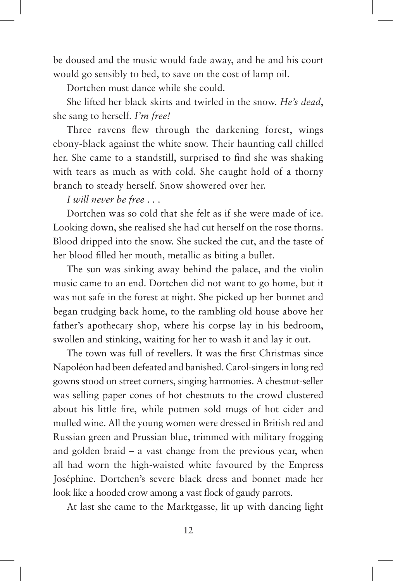be doused and the music would fade away, and he and his court would go sensibly to bed, to save on the cost of lamp oil.

Dortchen must dance while she could.

She lifted her black skirts and twirled in the snow. *He's dead*, she sang to herself. *I'm free!*

Three ravens flew through the darkening forest, wings ebony-black against the white snow. Their haunting call chilled her. She came to a standstill, surprised to find she was shaking with tears as much as with cold. She caught hold of a thorny branch to steady herself. Snow showered over her.

*I will never be free* . . .

Dortchen was so cold that she felt as if she were made of ice. Looking down, she realised she had cut herself on the rose thorns. Blood dripped into the snow. She sucked the cut, and the taste of her blood filled her mouth, metallic as biting a bullet.

The sun was sinking away behind the palace, and the violin music came to an end. Dortchen did not want to go home, but it was not safe in the forest at night. She picked up her bonnet and began trudging back home, to the rambling old house above her father's apothecary shop, where his corpse lay in his bedroom, swollen and stinking, waiting for her to wash it and lay it out.

The town was full of revellers. It was the first Christmas since Napoléon had been defeated and banished. Carol-singers in long red gowns stood on street corners, singing harmonies. A chestnut-seller was selling paper cones of hot chestnuts to the crowd clustered about his little fire, while potmen sold mugs of hot cider and mulled wine. All the young women were dressed in British red and Russian green and Prussian blue, trimmed with military frogging and golden braid – a vast change from the previous year, when all had worn the high-waisted white favoured by the Empress Joséphine. Dortchen's severe black dress and bonnet made her look like a hooded crow among a vast flock of gaudy parrots.

At last she came to the Marktgasse, lit up with dancing light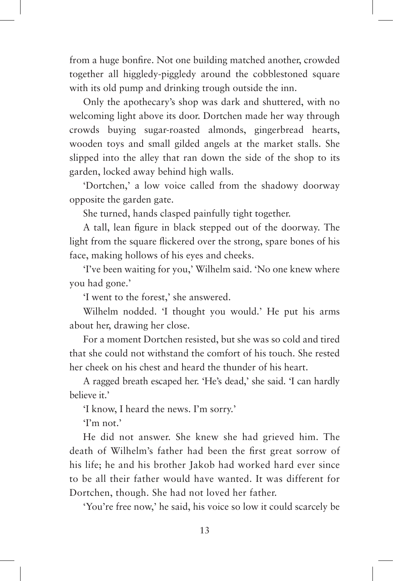from a huge bonfire. Not one building matched another, crowded together all higgledy-piggledy around the cobblestoned square with its old pump and drinking trough outside the inn.

Only the apothecary's shop was dark and shuttered, with no welcoming light above its door. Dortchen made her way through crowds buying sugar-roasted almonds, gingerbread hearts, wooden toys and small gilded angels at the market stalls. She slipped into the alley that ran down the side of the shop to its garden, locked away behind high walls.

'Dortchen,' a low voice called from the shadowy doorway opposite the garden gate.

She turned, hands clasped painfully tight together.

A tall, lean figure in black stepped out of the doorway. The light from the square flickered over the strong, spare bones of his face, making hollows of his eyes and cheeks.

'I've been waiting for you,' Wilhelm said. 'No one knew where you had gone.'

'I went to the forest,' she answered.

Wilhelm nodded. 'I thought you would.' He put his arms about her, drawing her close.

For a moment Dortchen resisted, but she was so cold and tired that she could not withstand the comfort of his touch. She rested her cheek on his chest and heard the thunder of his heart.

A ragged breath escaped her. 'He's dead,' she said. 'I can hardly believe it.'

'I know, I heard the news. I'm sorry.'

'I'm not.'

He did not answer. She knew she had grieved him. The death of Wilhelm's father had been the first great sorrow of his life; he and his brother Jakob had worked hard ever since to be all their father would have wanted. It was different for Dortchen, though. She had not loved her father.

'You're free now,' he said, his voice so low it could scarcely be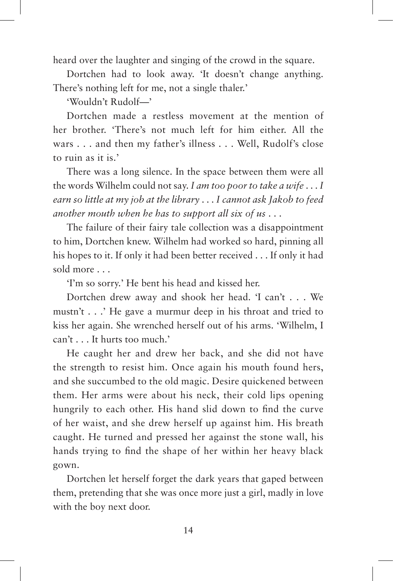heard over the laughter and singing of the crowd in the square.

Dortchen had to look away. 'It doesn't change anything. There's nothing left for me, not a single thaler.'

'Wouldn't Rudolf—'

Dortchen made a restless movement at the mention of her brother. 'There's not much left for him either. All the wars . . . and then my father's illness . . . Well, Rudolf's close to ruin as it is.'

There was a long silence. In the space between them were all the words Wilhelm could not say. *I am too poor to take a wife* . . . *I earn so little at my job at the library* . . . *I cannot ask Jakob to feed another mouth when he has to support all six of us* . . .

The failure of their fairy tale collection was a disappointment to him, Dortchen knew. Wilhelm had worked so hard, pinning all his hopes to it. If only it had been better received . . . If only it had sold more . . .

'I'm so sorry.' He bent his head and kissed her.

Dortchen drew away and shook her head. 'I can't . . . We mustn't . . .' He gave a murmur deep in his throat and tried to kiss her again. She wrenched herself out of his arms. 'Wilhelm, I can't . . . It hurts too much.'

He caught her and drew her back, and she did not have the strength to resist him. Once again his mouth found hers, and she succumbed to the old magic. Desire quickened between them. Her arms were about his neck, their cold lips opening hungrily to each other. His hand slid down to find the curve of her waist, and she drew herself up against him. His breath caught. He turned and pressed her against the stone wall, his hands trying to find the shape of her within her heavy black gown.

Dortchen let herself forget the dark years that gaped between them, pretending that she was once more just a girl, madly in love with the boy next door.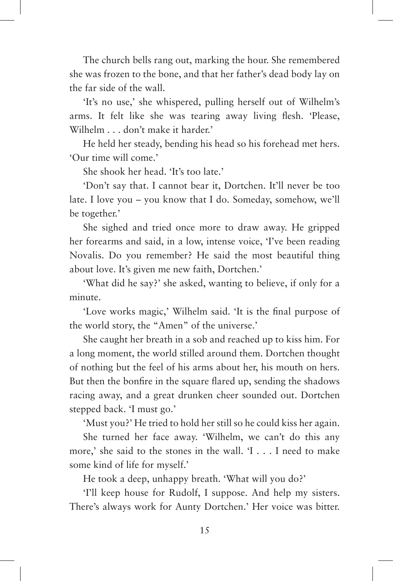The church bells rang out, marking the hour. She remembered she was frozen to the bone, and that her father's dead body lay on the far side of the wall.

'It's no use,' she whispered, pulling herself out of Wilhelm's arms. It felt like she was tearing away living flesh. 'Please, Wilhelm . . . don't make it harder.'

He held her steady, bending his head so his forehead met hers. 'Our time will come.'

She shook her head. 'It's too late.'

'Don't say that. I cannot bear it, Dortchen. It'll never be too late. I love you – you know that I do. Someday, somehow, we'll be together.'

She sighed and tried once more to draw away. He gripped her forearms and said, in a low, intense voice, 'I've been reading Novalis. Do you remember? He said the most beautiful thing about love. It's given me new faith, Dortchen.'

'What did he say?' she asked, wanting to believe, if only for a minute.

'Love works magic,' Wilhelm said. 'It is the final purpose of the world story, the "Amen" of the universe.'

She caught her breath in a sob and reached up to kiss him. For a long moment, the world stilled around them. Dortchen thought of nothing but the feel of his arms about her, his mouth on hers. But then the bonfire in the square flared up, sending the shadows racing away, and a great drunken cheer sounded out. Dortchen stepped back. 'I must go.'

'Must you?' He tried to hold her still so he could kiss her again.

She turned her face away. 'Wilhelm, we can't do this any more,' she said to the stones in the wall. 'I . . . I need to make some kind of life for myself.'

He took a deep, unhappy breath. 'What will you do?'

'I'll keep house for Rudolf, I suppose. And help my sisters. There's always work for Aunty Dortchen.' Her voice was bitter.